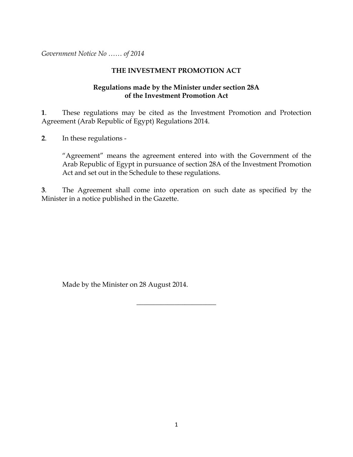*Government Notice No …… of 2014*

#### **THE INVESTMENT PROMOTION ACT**

#### **Regulations made by the Minister under section 28A of the Investment Promotion Act**

**1**. These regulations may be cited as the Investment Promotion and Protection Agreement (Arab Republic of Egypt) Regulations 2014.

**2**. In these regulations -

"Agreement" means the agreement entered into with the Government of the Arab Republic of Egypt in pursuance of section 28A of the Investment Promotion Act and set out in the Schedule to these regulations.

**3**. The Agreement shall come into operation on such date as specified by the Minister in a notice published in the Gazette.

 $\overline{\phantom{a}}$  , where  $\overline{\phantom{a}}$  , where  $\overline{\phantom{a}}$ 

Made by the Minister on 28 August 2014.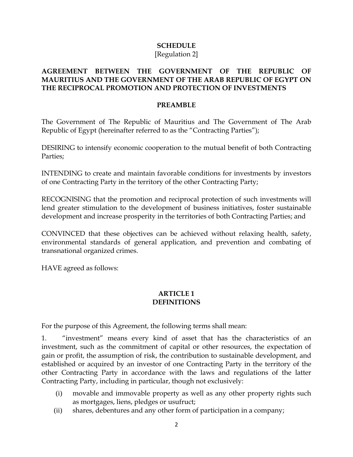# **SCHEDULE**

### [Regulation 2]

#### **AGREEMENT BETWEEN THE GOVERNMENT OF THE REPUBLIC OF MAURITIUS AND THE GOVERNMENT OF THE ARAB REPUBLIC OF EGYPT ON THE RECIPROCAL PROMOTION AND PROTECTION OF INVESTMENTS**

#### **PREAMBLE**

The Government of The Republic of Mauritius and The Government of The Arab Republic of Egypt (hereinafter referred to as the "Contracting Parties");

DESIRING to intensify economic cooperation to the mutual benefit of both Contracting Parties;

INTENDING to create and maintain favorable conditions for investments by investors of one Contracting Party in the territory of the other Contracting Party;

RECOGNISING that the promotion and reciprocal protection of such investments will lend greater stimulation to the development of business initiatives, foster sustainable development and increase prosperity in the territories of both Contracting Parties; and

CONVINCED that these objectives can be achieved without relaxing health, safety, environmental standards of general application, and prevention and combating of transnational organized crimes.

HAVE agreed as follows:

#### **ARTICLE 1 DEFINITIONS**

For the purpose of this Agreement, the following terms shall mean:

1. "investment" means every kind of asset that has the characteristics of an investment, such as the commitment of capital or other resources, the expectation of gain or profit, the assumption of risk, the contribution to sustainable development, and established or acquired by an investor of one Contracting Party in the territory of the other Contracting Party in accordance with the laws and regulations of the latter Contracting Party, including in particular, though not exclusively:

- (i) movable and immovable property as well as any other property rights such as mortgages, liens, pledges or usufruct;
- (ii) shares, debentures and any other form of participation in a company;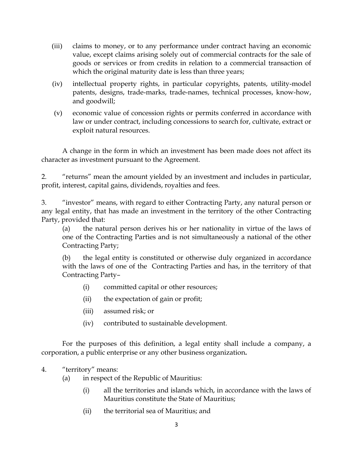- (iii) claims to money, or to any performance under contract having an economic value, except claims arising solely out of commercial contracts for the sale of goods or services or from credits in relation to a commercial transaction of which the original maturity date is less than three years;
- (iv) intellectual property rights, in particular copyrights, patents, utility-model patents, designs, trade-marks, trade-names, technical processes, know-how, and goodwill;
- (v) economic value of concession rights or permits conferred in accordance with law or under contract, including concessions to search for, cultivate, extract or exploit natural resources.

A change in the form in which an investment has been made does not affect its character as investment pursuant to the Agreement.

2. "returns" mean the amount yielded by an investment and includes in particular, profit, interest, capital gains, dividends, royalties and fees.

3. "investor" means, with regard to either Contracting Party, any natural person or any legal entity, that has made an investment in the territory of the other Contracting Party, provided that:

(a) the natural person derives his or her nationality in virtue of the laws of one of the Contracting Parties and is not simultaneously a national of the other Contracting Party;

(b) the legal entity is constituted or otherwise duly organized in accordance with the laws of one of the Contracting Parties and has, in the territory of that Contracting Party–

- (i) committed capital or other resources;
- (ii) the expectation of gain or profit;
- (iii) assumed risk; or
- (iv) contributed to sustainable development.

For the purposes of this definition, a legal entity shall include a company, a corporation, a public enterprise or any other business organization**.**

- 4. "territory" means:
	- (a) in respect of the Republic of Mauritius:
		- (i) all the territories and islands which, in accordance with the laws of Mauritius constitute the State of Mauritius;
		- (ii) the territorial sea of Mauritius; and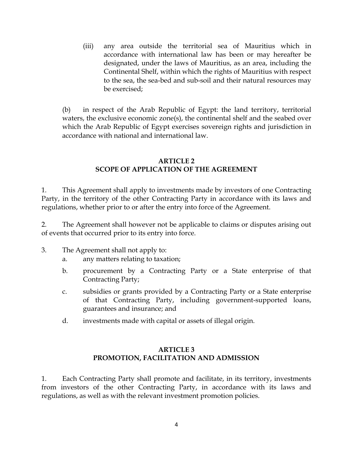(iii) any area outside the territorial sea of Mauritius which in accordance with international law has been or may hereafter be designated, under the laws of Mauritius, as an area, including the Continental Shelf, within which the rights of Mauritius with respect to the sea, the sea-bed and sub-soil and their natural resources may be exercised;

(b) in respect of the Arab Republic of Egypt: the land territory, territorial waters, the exclusive economic zone(s), the continental shelf and the seabed over which the Arab Republic of Egypt exercises sovereign rights and jurisdiction in accordance with national and international law.

#### **ARTICLE 2 SCOPE OF APPLICATION OF THE AGREEMENT**

1. This Agreement shall apply to investments made by investors of one Contracting Party, in the territory of the other Contracting Party in accordance with its laws and regulations, whether prior to or after the entry into force of the Agreement.

2. The Agreement shall however not be applicable to claims or disputes arising out of events that occurred prior to its entry into force.

- 3. The Agreement shall not apply to:
	- a. any matters relating to taxation;
	- b. procurement by a Contracting Party or a State enterprise of that Contracting Party;
	- c. subsidies or grants provided by a Contracting Party or a State enterprise of that Contracting Party, including government-supported loans, guarantees and insurance; and
	- d. investments made with capital or assets of illegal origin.

### **ARTICLE 3 PROMOTION, FACILITATION AND ADMISSION**

1. Each Contracting Party shall promote and facilitate, in its territory, investments from investors of the other Contracting Party, in accordance with its laws and regulations, as well as with the relevant investment promotion policies.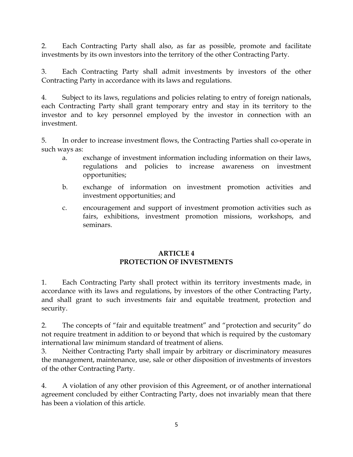2. Each Contracting Party shall also, as far as possible, promote and facilitate investments by its own investors into the territory of the other Contracting Party.

3. Each Contracting Party shall admit investments by investors of the other Contracting Party in accordance with its laws and regulations.

4. Subject to its laws, regulations and policies relating to entry of foreign nationals, each Contracting Party shall grant temporary entry and stay in its territory to the investor and to key personnel employed by the investor in connection with an investment.

5. In order to increase investment flows, the Contracting Parties shall co-operate in such ways as:

- a. exchange of investment information including information on their laws, regulations and policies to increase awareness on investment opportunities;
- b. exchange of information on investment promotion activities and investment opportunities; and
- c. encouragement and support of investment promotion activities such as fairs, exhibitions, investment promotion missions, workshops, and seminars.

### **ARTICLE 4 PROTECTION OF INVESTMENTS**

1. Each Contracting Party shall protect within its territory investments made, in accordance with its laws and regulations, by investors of the other Contracting Party, and shall grant to such investments fair and equitable treatment, protection and security.

2. The concepts of "fair and equitable treatment" and "protection and security" do not require treatment in addition to or beyond that which is required by the customary international law minimum standard of treatment of aliens.

3. Neither Contracting Party shall impair by arbitrary or discriminatory measures the management, maintenance, use, sale or other disposition of investments of investors of the other Contracting Party.

4. A violation of any other provision of this Agreement, or of another international agreement concluded by either Contracting Party, does not invariably mean that there has been a violation of this article.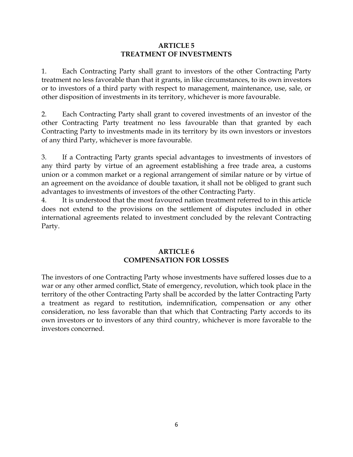#### **ARTICLE 5 TREATMENT OF INVESTMENTS**

1. Each Contracting Party shall grant to investors of the other Contracting Party treatment no less favorable than that it grants, in like circumstances, to its own investors or to investors of a third party with respect to management, maintenance, use, sale, or other disposition of investments in its territory, whichever is more favourable.

2. Each Contracting Party shall grant to covered investments of an investor of the other Contracting Party treatment no less favourable than that granted by each Contracting Party to investments made in its territory by its own investors or investors of any third Party, whichever is more favourable.

3. If a Contracting Party grants special advantages to investments of investors of any third party by virtue of an agreement establishing a free trade area, a customs union or a common market or a regional arrangement of similar nature or by virtue of an agreement on the avoidance of double taxation, it shall not be obliged to grant such advantages to investments of investors of the other Contracting Party.

4. It is understood that the most favoured nation treatment referred to in this article does not extend to the provisions on the settlement of disputes included in other international agreements related to investment concluded by the relevant Contracting Party.

#### **ARTICLE 6 COMPENSATION FOR LOSSES**

The investors of one Contracting Party whose investments have suffered losses due to a war or any other armed conflict, State of emergency, revolution, which took place in the territory of the other Contracting Party shall be accorded by the latter Contracting Party a treatment as regard to restitution, indemnification, compensation or any other consideration, no less favorable than that which that Contracting Party accords to its own investors or to investors of any third country, whichever is more favorable to the investors concerned.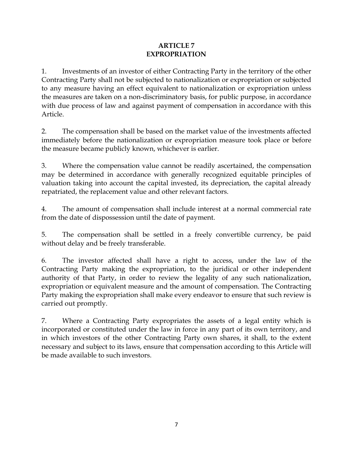#### **ARTICLE 7 EXPROPRIATION**

1. Investments of an investor of either Contracting Party in the territory of the other Contracting Party shall not be subjected to nationalization or expropriation or subjected to any measure having an effect equivalent to nationalization or expropriation unless the measures are taken on a non-discriminatory basis, for public purpose, in accordance with due process of law and against payment of compensation in accordance with this Article.

2. The compensation shall be based on the market value of the investments affected immediately before the nationalization or expropriation measure took place or before the measure became publicly known, whichever is earlier.

3. Where the compensation value cannot be readily ascertained, the compensation may be determined in accordance with generally recognized equitable principles of valuation taking into account the capital invested, its depreciation, the capital already repatriated, the replacement value and other relevant factors.

4. The amount of compensation shall include interest at a normal commercial rate from the date of dispossession until the date of payment.

5. The compensation shall be settled in a freely convertible currency, be paid without delay and be freely transferable.

6. The investor affected shall have a right to access, under the law of the Contracting Party making the expropriation, to the juridical or other independent authority of that Party, in order to review the legality of any such nationalization, expropriation or equivalent measure and the amount of compensation. The Contracting Party making the expropriation shall make every endeavor to ensure that such review is carried out promptly.

7. Where a Contracting Party expropriates the assets of a legal entity which is incorporated or constituted under the law in force in any part of its own territory, and in which investors of the other Contracting Party own shares, it shall, to the extent necessary and subject to its laws, ensure that compensation according to this Article will be made available to such investors.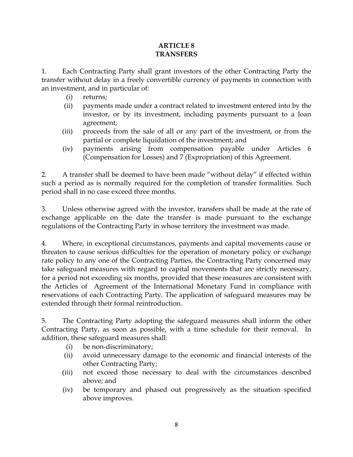#### **ARTICLE 8 TRANSFERS**

1. Each Contracting Party shall grant investors of the other Contracting Party the transfer without delay in a freely convertible currency of payments in connection with an investment, and in particular of:

- (i) returns;
- (ii) payments made under a contract related to investment entered into by the investor, or by its investment, including payments pursuant to a loan agreement;
- (iii) proceeds from the sale of all or any part of the investment, or from the partial or complete liquidation of the investment; and
- (iv) payments arising from compensation payable under Articles 6 (Compensation for Losses) and 7 (Expropriation) of this Agreement.

2. A transfer shall be deemed to have been made "without delay" if effected within such a period as is normally required for the completion of transfer formalities. Such period shall in no case exceed three months.

3. Unless otherwise agreed with the investor, transfers shall be made at the rate of exchange applicable on the date the transfer is made pursuant to the exchange regulations of the Contracting Party in whose territory the investment was made.

4. Where, in exceptional circumstances, payments and capital movements cause or threaten to cause serious difficulties for the operation of monetary policy or exchange rate policy to any one of the Contracting Parties, the Contracting Party concerned may take safeguard measures with regard to capital movements that are strictly necessary, for a period not exceeding six months, provided that these measures are consistent with the Articles of Agreement of the International Monetary Fund in compliance with reservations of each Contracting Party. The application of safeguard measures may be extended through their formal reintroduction.

5. The Contracting Party adopting the safeguard measures shall inform the other Contracting Party, as soon as possible, with a time schedule for their removal. In addition, these safeguard measures shall:

- (i) be non-discriminatory;
- (ii) avoid unnecessary damage to the economic and financial interests of the other Contracting Party;
- (iii) not exceed those necessary to deal with the circumstances described above; and
- (iv) be temporary and phased out progressively as the situation specified above improves.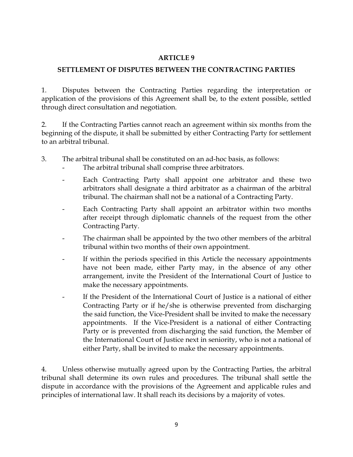#### **ARTICLE 9**

### **SETTLEMENT OF DISPUTES BETWEEN THE CONTRACTING PARTIES**

1. Disputes between the Contracting Parties regarding the interpretation or application of the provisions of this Agreement shall be, to the extent possible, settled through direct consultation and negotiation.

2. If the Contracting Parties cannot reach an agreement within six months from the beginning of the dispute, it shall be submitted by either Contracting Party for settlement to an arbitral tribunal.

- 3. The arbitral tribunal shall be constituted on an ad-hoc basis, as follows:
	- The arbitral tribunal shall comprise three arbitrators.
	- Each Contracting Party shall appoint one arbitrator and these two arbitrators shall designate a third arbitrator as a chairman of the arbitral tribunal. The chairman shall not be a national of a Contracting Party.
	- Each Contracting Party shall appoint an arbitrator within two months after receipt through diplomatic channels of the request from the other Contracting Party.
	- The chairman shall be appointed by the two other members of the arbitral tribunal within two months of their own appointment.
	- If within the periods specified in this Article the necessary appointments have not been made, either Party may, in the absence of any other arrangement, invite the President of the International Court of Justice to make the necessary appointments.
	- If the President of the International Court of Justice is a national of either Contracting Party or if he/she is otherwise prevented from discharging the said function, the Vice-President shall be invited to make the necessary appointments. If the Vice-President is a national of either Contracting Party or is prevented from discharging the said function, the Member of the International Court of Justice next in seniority, who is not a national of either Party, shall be invited to make the necessary appointments.

4. Unless otherwise mutually agreed upon by the Contracting Parties, the arbitral tribunal shall determine its own rules and procedures. The tribunal shall settle the dispute in accordance with the provisions of the Agreement and applicable rules and principles of international law. It shall reach its decisions by a majority of votes.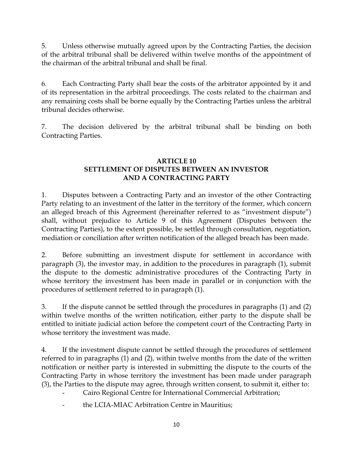5. Unless otherwise mutually agreed upon by the Contracting Parties, the decision of the arbitral tribunal shall be delivered within twelve months of the appointment of the chairman of the arbitral tribunal and shall be final.

6. Each Contracting Party shall bear the costs of the arbitrator appointed by it and of its representation in the arbitral proceedings. The costs related to the chairman and any remaining costs shall be borne equally by the Contracting Parties unless the arbitral tribunal decides otherwise.

7. The decision delivered by the arbitral tribunal shall be binding on both Contracting Parties.

### **ARTICLE 10 SETTLEMENT OF DISPUTES BETWEEN AN INVESTOR AND A CONTRACTING PARTY**

1. Disputes between a Contracting Party and an investor of the other Contracting Party relating to an investment of the latter in the territory of the former, which concern an alleged breach of this Agreement (hereinafter referred to as "investment dispute") shall, without prejudice to Article 9 of this Agreement (Disputes between the Contracting Parties), to the extent possible, be settled through consultation, negotiation, mediation or conciliation after written notification of the alleged breach has been made.

2. Before submitting an investment dispute for settlement in accordance with paragraph (3), the investor may, in addition to the procedures in paragraph (1), submit the dispute to the domestic administrative procedures of the Contracting Party in whose territory the investment has been made in parallel or in conjunction with the procedures of settlement referred to in paragraph (1).

3. If the dispute cannot be settled through the procedures in paragraphs (1) and (2) within twelve months of the written notification, either party to the dispute shall be entitled to initiate judicial action before the competent court of the Contracting Party in whose territory the investment was made.

4. If the investment dispute cannot be settled through the procedures of settlement referred to in paragraphs (1) and (2), within twelve months from the date of the written notification or neither party is interested in submitting the dispute to the courts of the Contracting Party in whose territory the investment has been made under paragraph (3), the Parties to the dispute may agree, through written consent, to submit it, either to:

- Cairo Regional Centre for International Commercial Arbitration;
- the LCIA-MIAC Arbitration Centre in Mauritius;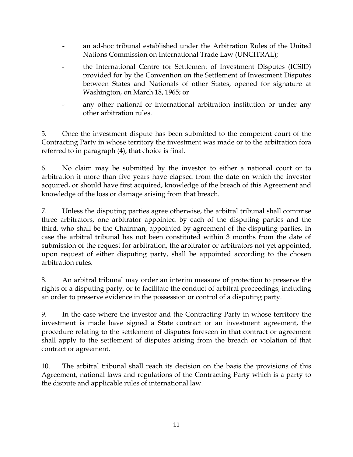- an ad-hoc tribunal established under the Arbitration Rules of the United Nations Commission on International Trade Law (UNCITRAL);
- the International Centre for Settlement of Investment Disputes (ICSID) provided for by the Convention on the Settlement of Investment Disputes between States and Nationals of other States, opened for signature at Washington, on March 18, 1965; or
- any other national or international arbitration institution or under any other arbitration rules.

5. Once the investment dispute has been submitted to the competent court of the Contracting Party in whose territory the investment was made or to the arbitration fora referred to in paragraph (4), that choice is final.

6. No claim may be submitted by the investor to either a national court or to arbitration if more than five years have elapsed from the date on which the investor acquired, or should have first acquired, knowledge of the breach of this Agreement and knowledge of the loss or damage arising from that breach.

7. Unless the disputing parties agree otherwise, the arbitral tribunal shall comprise three arbitrators, one arbitrator appointed by each of the disputing parties and the third, who shall be the Chairman, appointed by agreement of the disputing parties. In case the arbitral tribunal has not been constituted within 3 months from the date of submission of the request for arbitration, the arbitrator or arbitrators not yet appointed, upon request of either disputing party, shall be appointed according to the chosen arbitration rules.

8. An arbitral tribunal may order an interim measure of protection to preserve the rights of a disputing party, or to facilitate the conduct of arbitral proceedings, including an order to preserve evidence in the possession or control of a disputing party.

9. In the case where the investor and the Contracting Party in whose territory the investment is made have signed a State contract or an investment agreement, the procedure relating to the settlement of disputes foreseen in that contract or agreement shall apply to the settlement of disputes arising from the breach or violation of that contract or agreement.

10. The arbitral tribunal shall reach its decision on the basis the provisions of this Agreement, national laws and regulations of the Contracting Party which is a party to the dispute and applicable rules of international law.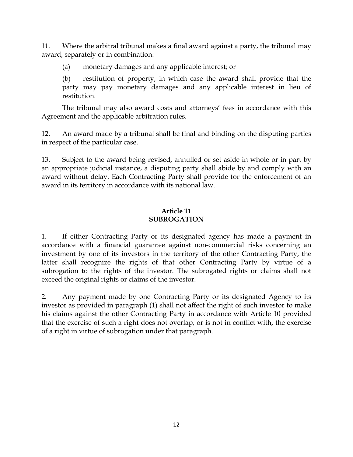11. Where the arbitral tribunal makes a final award against a party, the tribunal may award, separately or in combination:

(a) monetary damages and any applicable interest; or

(b) restitution of property, in which case the award shall provide that the party may pay monetary damages and any applicable interest in lieu of restitution.

The tribunal may also award costs and attorneys' fees in accordance with this Agreement and the applicable arbitration rules.

12. An award made by a tribunal shall be final and binding on the disputing parties in respect of the particular case.

13. Subject to the award being revised, annulled or set aside in whole or in part by an appropriate judicial instance, a disputing party shall abide by and comply with an award without delay. Each Contracting Party shall provide for the enforcement of an award in its territory in accordance with its national law.

#### **Article 11 SUBROGATION**

1. If either Contracting Party or its designated agency has made a payment in accordance with a financial guarantee against non-commercial risks concerning an investment by one of its investors in the territory of the other Contracting Party, the latter shall recognize the rights of that other Contracting Party by virtue of a subrogation to the rights of the investor. The subrogated rights or claims shall not exceed the original rights or claims of the investor.

2. Any payment made by one Contracting Party or its designated Agency to its investor as provided in paragraph (1) shall not affect the right of such investor to make his claims against the other Contracting Party in accordance with Article 10 provided that the exercise of such a right does not overlap, or is not in conflict with, the exercise of a right in virtue of subrogation under that paragraph.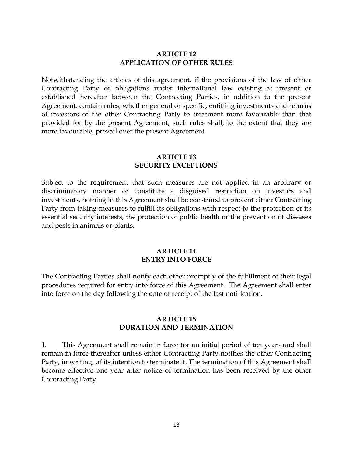#### **ARTICLE 12 APPLICATION OF OTHER RULES**

Notwithstanding the articles of this agreement, if the provisions of the law of either Contracting Party or obligations under international law existing at present or established hereafter between the Contracting Parties, in addition to the present Agreement, contain rules, whether general or specific, entitling investments and returns of investors of the other Contracting Party to treatment more favourable than that provided for by the present Agreement, such rules shall, to the extent that they are more favourable, prevail over the present Agreement.

#### **ARTICLE 13 SECURITY EXCEPTIONS**

Subject to the requirement that such measures are not applied in an arbitrary or discriminatory manner or constitute a disguised restriction on investors and investments, nothing in this Agreement shall be construed to prevent either Contracting Party from taking measures to fulfill its obligations with respect to the protection of its essential security interests, the protection of public health or the prevention of diseases and pests in animals or plants.

#### **ARTICLE 14 ENTRY INTO FORCE**

The Contracting Parties shall notify each other promptly of the fulfillment of their legal procedures required for entry into force of this Agreement. The Agreement shall enter into force on the day following the date of receipt of the last notification.

#### **ARTICLE 15 DURATION AND TERMINATION**

1. This Agreement shall remain in force for an initial period of ten years and shall remain in force thereafter unless either Contracting Party notifies the other Contracting Party, in writing, of its intention to terminate it. The termination of this Agreement shall become effective one year after notice of termination has been received by the other Contracting Party.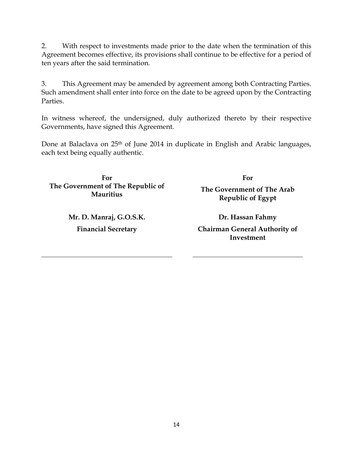2. With respect to investments made prior to the date when the termination of this Agreement becomes effective, its provisions shall continue to be effective for a period of ten years after the said termination.

3. This Agreement may be amended by agreement among both Contracting Parties. Such amendment shall enter into force on the date to be agreed upon by the Contracting Parties.

In witness whereof, the undersigned, duly authorized thereto by their respective Governments, have signed this Agreement.

Done at Balaclava on 25<sup>th</sup> of June 2014 in duplicate in English and Arabic languages, each text being equally authentic.

**For The Government of The Republic of Mauritius**

> **Mr. D. Manraj, G.O.S.K. Financial Secretary**

**For The Government of The Arab Republic of Egypt**

**Dr. Hassan Fahmy Chairman General Authority of Investment**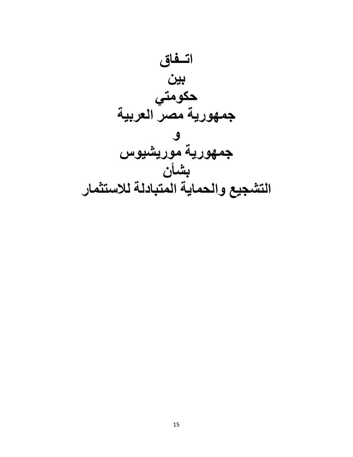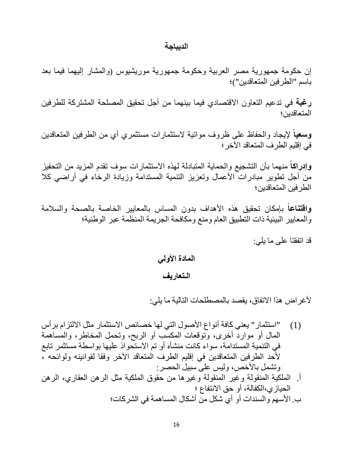#### **الدیباجة**

إن حكومة جمھوریة مصر العربیة وحكومة جمھوریة موریشیوس (والمشار إلیھما فیما بعد باسم "الطرفین المتعاقدین")؛

**رغبة** في تدعیم التعاون الاقتصادي فیما بینھما من أجل تحقیق المصلحة المشتركة للطرفین المتعاقدین؛

**وسعیا** لإیجاد والحفاظ على ظروف مواتیة لاستثمارات مستثمري أي من الطرفین المتعاقدین **ً** في إقلیم الطرف المتعاقد الآخر؛

**وإدراكا** منھما بأن التشجیع والحمایة المتبادلة لھذه الاستثمارات سوف تقدم المزید من التحفیز **ً** من أجل تطویر مبادرات الأعمال وتعزیز التنمیة المستدامة وزیادة الرخاء في أراضي كلا الطرفین المتعاقدین؛

**ً** بإمكان تحقیق ھذه الأھداف بدون المساس بالمعاییر الخاصة بالصحة والسلامة **واقتناعا** والمعاییر البیئیة ذات التطبیق العام ومنع ومكافحة الجریمة المنظمة عبر الوطنیة؛

قد اتفقتا على ما یلي:

## **المادة الأولي**

### **الـتعاریف**

لأغراض ھذا الاتفاق، یقصد بالمصطلحات التالیة ما یلي:

- (1) "استثمار" یعني كافة أنواع الأصول التي لھا خصائص الاستثمار مثل الالتزام برأس المال أو موارد أخرى، وتوقعات المكسب أو الربح، وتحمل المخاطر، والمساھمة في التنمیة المستدامة، سواء كانت منشأه أو تم الاستحواذ علیھا بواسطة مستثمر تابع لأحد الطرفین المتعاقدین في إقلیم الطرف المتعاقد الآخر وفقا لقوانینھ ولوائحھ ، وتشمل بالأخص، ولیس على سبیل الحصر:
- أ. الملكیة المنقولة وغیر المنقولة وغیرھا من حقوق الملكیة مثل الرھن العقاري، الرھن الحیازي،الكفالة، أو حق الانتفاع ؛ ب. الأسھم والسندات أو أي شكل من أشكال المساھمة في الشركات؛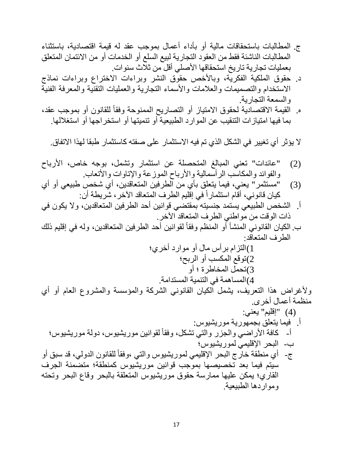- ج. المطالبات باستحقاقات مالیة أو بأداء أعمال بموجب عقد لھ قیمة اقتصادیة، باستثناء المطالبات الناشئة فقط من العقود التجاریة لبیع السلع أو الخدمات أو من الائتمان المتعلق بعملیات تجاریة تاریخ استحقاقھا الأصلي أقل من ثلاث سنوات.
- د. حقوق الملكیة الفكریة، وبالأخص حقوق النشر وبراءات الاختراع وبراءات نماذج الاستخدام والتصمیمات والعلامات والأسماء التجاریة والعملیات التقنیة والمعرفة الفنیة والسمعة التجاریة.
- ه. القيمة الاقتصادية لحقوق الامتياز أو التصاريح الممنوحة وفقاً للقانون أو بموجب عقد، بما فیھا امتیازات التنقیب عن الموارد الطبیعیة أو تنمیتھا أو استخراجھا أو استغلالھا.

لا یؤثر أي تغییر في الشكل الذي تم فیھ الاستثمار على صفتھ كاستثمار طبقا لھذا الاتفاق.

(2) "عائدات" تعني المبالغ المتحصلة عن استثمار وتشمل، بوجھ خاص، الأرباح والفوائد والمكاسب الرأسمالیة والأرباح الموزعة والإتاوات والأتعاب.

- (3) "مستثمر" یعني، فیما یتعلق بأي من الطرفین المتعاقدین، أي شخص طبیعي أو أي كيان قانوني، أقام استثمار أ في إقليم الطرف المتعاقد الآخر ، شريطة أن:
- أ. الشخص الطبیعي یستمد جنسیتھ بمقتضي قوانین أحد الطرفین المتعاقدین، ولا یكون في ذات الوقت من مواطني الطرف المتعاقد الآخر.
- ب الكيان القانوني المنشأ أو المنظم وفقاً لقوانين أحد الطرفين المتعاقدين، وله في إقليم ذلك الطرف المتعاقد:

1)التزام برأس مال أو موارد أخري؛ 2)توقع المكسب أو الربح؛ 3)تحمل المخاطرة ؛ أو 4)المساھمة في التنمیة المستدامة.

ولأغراض ھذا التعریف، یشمل الكیان القانوني الشركة والمؤسسة والمشروع العام أو أي منظمة أعمال أخرى.

(4) "إقلیم" یعني: أ. فیما یتعلق بجمھوریة موریشیوس: ً أ- كافة الأراضي لقوانین موریشیوس، دولة موریشیوس؛ والجزر والتي تشكل، وفقا ب- البحر الإقلیمي لموریشیوس؛ ً للقانون الدولي، قد سبق أو ج- أي منطقة خارج البحر الإقلیمي لموریشیوس والتي ،وفقا سیتم فیما بعد تخصیصھا بموجب قوانین موریشیوس كمنطقة؛ متضمنة الجرف القاري؛ یمكن علیھا ممارسة حقوق موریشیوس المتعلقة بالبحر وقاع البحر وتحتھ ومواردھا الطبیعیة.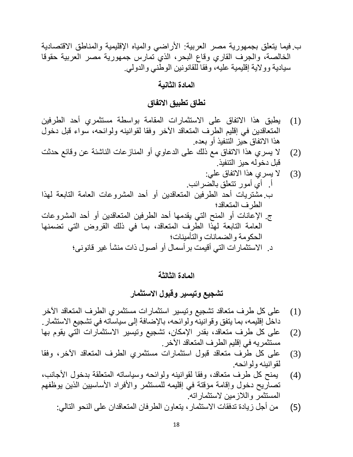ب. فیما یتعلق بجمھوریة مصر العربیة: الأراضي والمیاه الإقلیمیة والمناطق الاقتصادیة الخالصة، والجرف القاري وقاع البحر، الذي تمارس جمھوریة مصر العربیة حقوقا سیادیة وولایة إقلیمیة علیھ، وفقا للقانونین الوطني والدولي.

**المادة الثانیة**

# **نطاق تطبیق الاتفاق**

- (1) یطبق ھذا الاتفاق على الاستثمارات المقامة بواسطة مستثمري أحد الطرفین المتعاقدین في إقلیم الطرف المتعاقد الآخر وفقا لقوانینھ ولوائحھ، سواء قبل دخول ھذا الاتفاق حیز التنفیذ أو بعده.
- (2) لا یسري ھذا الاتفاق مع ذلك على الدعاوي أو المنازعات الناشئة عن وقائع حدثت قبل دخولھ حیز التنفیذ.
- (3) لا یسري ھذا الاتفاق علي: أ. أي أمور تتعلق بالضرائب. ب.مشتریات أحد الطرفین المتعاقدین أو أحد المشروعات العامة التابعة لھذا الطرف المتعاقد؛ ج. الإعانات أو المنح التي یقدمھا أحد الطرفین المتعاقدین أو أحد المشروعات العامة التابعة لھذا الطرف المتعاقد، بما في ذلك القروض التي تضمنھا الحكومة والضمانات والتأمینات؛ د. الاستثمارات التي أقیمت برأسمال أو أصول ذات منشأ غیر قانونى؛

**المادة الثالثة**

**تشجیع وتیسیر وقبول الاستثمار**

- (1) على كل طرف متعاقد تشجیع وتیسیر استثمارات مستثمري الطرف المتعاقد الآخر داخل إقلیمھ، بما یتفق وقوانینھ ولوائحھ، بالإضافة إلى سیاساتھ في تشجیع الاستثمار.
- (2) على كل طرف متعاقد، بقدر الإمكان، تشجیع وتیسیر الاستثمارات التي یقوم بھا مستثمریھ في إقلیم الطرف المتعاقد الآخر.
- (3) على كل طرف متعاقد قبول استثمارات مستثمري الطرف المتعاقد الآخر، وفقا لقوانینھ ولوائحھ.
- (4) یمنح كل طرف متعاقد، وفقا لقوانینھ ولوائحھ وسیاساتھ المتعلقة بدخول الأجانب، تصاریح دخول وإقامة مؤقتة في إقلیمھ للمستثمر والأفراد الأساسیین الذین یوظفھم المستثمر واللازمین لاستثماراتھ.
	- (5) من أجل زیادة تدفقات الاستثمار، یتعاون الطرفان المتعاقدان على النحو التالي: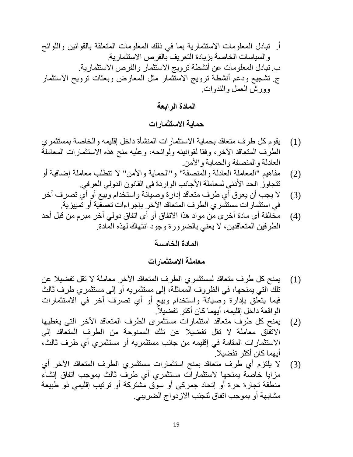أ. تبادل المعلومات الاستثماریة بما في ذلك المعلومات المتعلقة بالقوانین واللوائح والسیاسات الخاصة بزیادة التعریف بالفرص الاستثماریة. ب. تبادل المعلومات عن أنشطة ترویج الاستثمار والفرص الاستثماریة. ج. تشجیع ودعم أنشطة ترویج الاستثمار مثل المعارض وبعثات ترویج الاستثمار وورش العمل والندوات.

**المادة الرابعة**

**حمایة الاستثمارات**

- (1) یقوم كل طرف متعاقد بحمایة الاستثمارات المنشأة داخل إقلیمھ والخاصة بمستثمري الطرف المتعاقد الآخر، وفقا لقوانینھ ولوائحھ، وعلیھ منح ھذه الاستثمارات المعاملة العادلة والمنصفة والحمایة والأمن.
- (2) مفاھیم "المعاملة العادلة والمنصفة" و"الحمایة والأمن" لا تتطلب معاملة إضافیة أو تتجاوز الحد الأدنى لمعاملة الأجانب الواردة في القانون الدولي العرفي.
- (3) لا یجب أن یعوق أي طرف متعاقد إدارة وصیانة واستخدام وبیع أو أي تصرف آخر في استثمارات مستثمري الطرف المتعاقد الآخر بإجراءات تعسفیة أو تمییزیة.
- (4) مخالفة أى مادة أخرى من مواد ھذا الاتفاق أو أى اتفاق دولي آخر مبرم من قبل أحد الطرفین المتعاقدین، لا یعني بالضرورة وجود انتھاك لھذه المادة.

### **المادة الخامسة**

**معاملة الاستثمارات**

- (1) یمنح كل طرف متعاقد لمستثمري الطرف المتعاقد الآخر معاملة لا تقل تفضیلا عن تلك التي یمنحھا، في الظروف المماثلة، إلى مستثمریھ أو إلى مستثمري طرف ثالث فیما یتعلق بإدارة وصیانة واستخدام وبیع أو أي تصرف آخر في الاستثمارات الواقعة داخل إقليمه، أيهما كان أكثر تفضيلاً.
- (2) یمنح كل طرف متعاقد استثمارات مستثمرى الطرف المتعاقد الآخر التى یغطیھا الاتفاق معاملة لا تقل تفضیلا عن تلك الممنوحة من الطرف المتعاقد إلى الاستثمارات المقامة في إقلیمھ من جانب مستثمریھ أو مستثمري أي طرف ثالث، أیھما كان أكثر تفضیلا.
- (3) لا یلتزم أي طرف متعاقد بمنح استثمارات مستثمري الطرف المتعاقد الآخر أي مزایا خاصة یمنحھا لاستثمارات مستثمري أي طرف ثالث بموجب اتفاق إنشاء منطقة تجارة حرة أو إتحاد جمركي أو سوق مشتركة أو ترتیب إقلیمي ذو طبیعة مشابھة أو بموجب اتفاق لتجنب الازدواج الضریبي.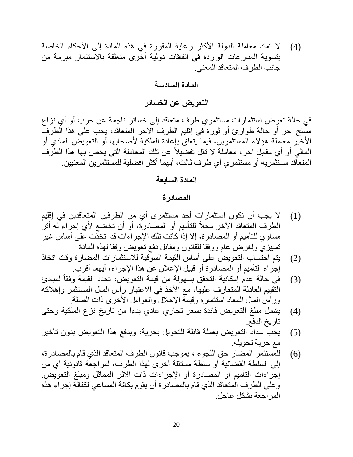(4) لا تمتد معاملة الدولة الأكثر رعایة المقررة في ھذه المادة إلى الأحكام الخاصة بتسویة المنازعات الواردة في اتفاقات دولیة أخرى متعلقة بالاستثمار مبرمة من جانب الطرف المتعاقد المعني.

**المادة السادسة**

## **التعویض عن الخسائر**

في حالة تعرض استثمارات مستثمري طرف متعاقد إلى خسائر ناجمة عن حرب أو أي نزاع مسلح آخر أو حالة طوارئ أو ثورة في إقلیم الطرف الآخر المتعاقد، یجب على ھذا الطرف الأخیر معاملة ھؤلاء المستثمرین، فیما یتعلق بإعادة الملكیة لأصحابھا أو التعویض المادي أو الممالي أو أي مقابل آخر ، معاملة لا تقل تفضيلاً عن تلك المعاملة التي يخص بها هذا الطرف المتعاقد مستثمریھ أو مستثمري أي طرف ثالث، أیھما أكثر أفضلیة للمستثمرین المعنیین.

### **المادة السابعة**

### **المصادرة**

- (1) لا یجب أن تكون استثمارات أحد مستثمرى أي من الطرفین المتعاقدین في إقلیم الطرف المتعاقد الأخر محلأ للتأميم أو المصـادرة، أو أن تخضـع لأي إجراء لـه أثر مساوي للتأمیم أو المصادرة، إلا إذا كانت تلك الإجراءات قد اتخذت على أساس غیر تمییزي ولغرض عام ووفقا للقانون ومقابل دفع تعویض وفقا لھذه المادة.
- (2) یتم احتساب التعویض على أساس القیمة السوقیة للاستثمارات المضارة وقت اتخاذ إجراء التأمیم أو المصادرة أو قبیل الإعلان عن ھذا الإجراء، أیھما أقرب.
- (3) في حالة عدم إمكانية التحقق بسهولة من قيمة التعويض، تحدد القيمة وفقاً لمبادئ التقییم العادلة المتعارف علیھا، مع الأخذ في الاعتبار رأس المال المستثمر وإھلاكھ ورأس المال المعاد استثماره وقیمة الإحلال والعوامل الأخرى ذات الصلة.
- (4) یشمل مبلغ التعویض فائدة بسعر تجاري عادي بدءا من تاریخ نزع الملكیة وحتى تاریخ الدفع.
- (5) یجب سداد التعویض بعملة قابلة للتحویل بحریة، ویدفع ھذا التعویض بدون تأخیر مع حریة تحویلھ.
- (6) للمستثمر المضار حق اللجوء ، بموجب قانون الطرف المتعاقد الذي قام بالمصادرة، إلى السلطة القضائیة أو سلطة مستقلة أخرى لھذا الطرف، لمراجعة قانونیة أي من إجراءات التأمیم أو المصادرة أو الإجراءات ذات الأثر المماثل ومبلغ التعویض. وعلى الطرف المتعاقد الذي قام بالمصادرة أن یقوم بكافة المساعي لكفالة إجراء ھذه المراجعة بشكل عاجل.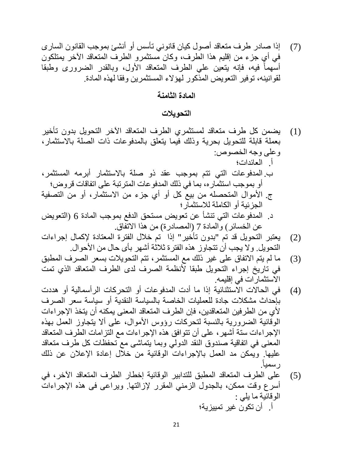(7) إذا صادر طرف متعاقد أصول كیان قانوني تأسس أو أنشئ بموجب القانون السارى في أي جزء من إقلیم ھذا الطرف، وكان مستثمرو الطرف المتعاقد الآخر یمتلكون أسهماً فيه، فإنه يتعين على الطرف المتعاقد الأول، وبالقدر الضرورى وطبقا لقوانینھ، توفیر التعویض المذكور لھؤلاء المستثمرین وفقا لھذه المادة.

**المادة الثامنة**

**التحویلات**

- (1) یضمن كل طرف متعاقد لمستثمري الطرف المتعاقد الآخر التحویل بدون تأخیر بعملة قابلة للتحویل بحریة وذلك فیما یتعلق بالمدفوعات ذات الصلة بالاستثمار، وعلى وجھ الخصوص: أ. العائدات؛ ب. المدفوعات التي تتم بموجب عقد ذو صلة بالاستثمار أبرمھ المستثمر، أو بموجب استثماره، بما في ذلك المدفوعات المترتبة على اتفاقات قروض؛ ج. الأموال المتحصلھ من بیع كل أو أي جزء من الاستثمار، أو من التصفیة الجزئیة أو الكاملة للاستثمار؛ د. المدفوعات التي تنشأ عن تعویض مستحق الدفع بموجب المادة 6 (التعویض عن الخسائر) والمادة 7 (المصادرة) من ھذا الاتفاق.
- (2) یعتبر التحویل قد تم "بدون تأخیر" إذا تم خلال الفترة المعتادة لإكمال إجراءات التحویل. ولا یجب أن تتجاوز ھذه الفترة ثلاثة أشھر بأى حال من الأحوال.
- (3) ما لم یتم الاتفاق على غیر ذلك مع المستثمر، تتم التحویلات بسعر الصرف المطبق في تاریخ إجراء التحویل طبقا لأنظمة الصرف لدى الطرف المتعاقد الذي تمت الاستثمارات في إقلیمھ.
- (4) في الحالات الاستثنائیة إذا ما أدت المدفوعات أو التحركات الرأسمالیة أو ھددت بإحداث مشكلات جادة للعملیات الخاصة بالسیاسة النقدیة أو سیاسة سعر الصرف لأي من الطرفین المتعاقدین، فإن الطرف المتعاقد المعنى یمكنھ أن یتخذ الإجراءات الوقائیة الضروریة بالنسبة لتحركات رؤوس الأموال، على ألا یتجاوز العمل بھذه الإجراءات ستة أشھر، على أن تتوافق ھذه الإجراءات مع التزامات الطرف المتعاقد المعنى في اتفاقیة صندوق النقد الدولي وبما یتماشى مع تحفظات كل طرف متعاقد علیھا. ویمكن مد العمل بالإجراءات الوقائیة من خلال إعادة الإعلان عن ذلك .ً رسمیا
- (5) على الطرف المتعاقد المطبق للتدابیر الوقائیة إخطار الطرف المتعاقد الآخر، في أسرع وقت ممكن، بالجدول الزمني المقرر لإزالتھا. ویراعى فى ھذه الإجراءات الوقائیة ما یلي : أ. أن تكون غیر تمییزیة؛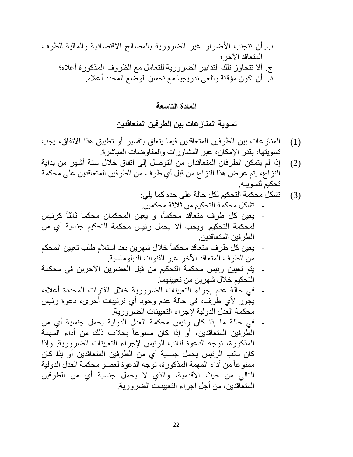ب. أن تتجنب الأضرار غیر الضروریة بالمصالح الاقتصادیة والمالیة للطرف المتعاقد الآخر؛ ج. ألا تتجاوز تلك التدابیر الضروریة للتعامل مع الظروف المذكورة أعلاه؛ د. أن تكون مؤقتة وتلغى تدریجیا مع تحسن الوضع المحدد أعلاه.

**المادة التاسعة**

**تسویة المنازعات بین الطرفین المتعاقدین**

- (1) المنازعات بین الطرفین المتعاقدین فیما یتعلق بتفسیر أو تطبیق ھذا الاتفاق، یجب تسویتھا، بقدر الإمكان، عبر المشاورات والمفاوضات المباشرة.
- (2) إذا لم یتمكن الطرفان المتعاقدان من التوصل إلى اتفاق خلال ستة أشھر من بدایة النزاع، یتم عرض ھذا النزاع من قبل أي طرف من الطرفین المتعاقدین على محكمة تحكیم لتسویتھ.

(3) تشكل محكمة التحكیم لكل حالة على حده كما یلي: - تشكل محكمة التحكیم من ثلاثة محكمین.

- يعين كل طرف متعاقد محكماً، و يعين المحكمان محكماً ثالثاً كرئيس لمحكمة التحكیم. ویجب ألا یحمل رئیس محكمة التحكیم جنسیة أي من الطرفین المتعاقدین.
- یعین كل طرف متعاقد محكماً خلال شهرين بعد استلام طلب تعيين المحكم من الطرف المتعاقد الآخر عبر القنوات الدبلوماسیة.
- یتم تعیین رئیس محكمة التحكیم من قبل العضوین الآخرین في محكمة التحكیم خلال شھرین من تعیینھما.
- في حالة عدم إجراء التعیینات الضروریة خلال الفترات المحددة أعلاه، یجوز لأي طرف، في حالة عدم وجود أي ترتیبات أخرى، دعوة رئیس محكمة العدل الدولیة لإجراء التعیینات الضروریة.
- في حالة ما إذا كان رئیس محكمة العدل الدولیة یحمل جنسیة أي من الطّر فين المتعاقدين، أو إذا كان ممنوعاً بخلاف ذلك من أداء المهمة المذكورة، توجھ الدعوة لنائب الرئیس لإجراء التعیینات الضروریة. وإذا كان نائب الرئیس یحمل جنسیة أي من الطرفین المتعاقدین أو إذا كان ممنوعاً من أداء المهمة المذكورة، توجه الدعوة لعضو محكمة العدل الدولية التالي من حیث الأقدمیة، والذي لا یحمل جنسیة أي من الطرفین المتعاقدین، من أجل إجراء التعیینات الضروریة.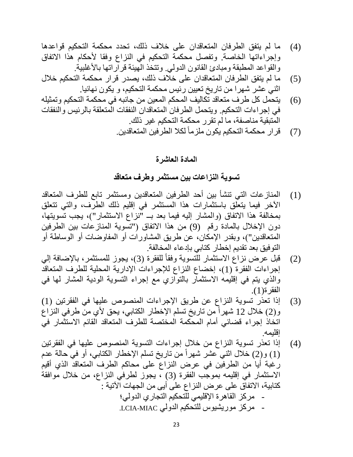- (4) ما لم یتفق الطرفان المتعاقدان على خلاف ذلك، تحدد محكمة التحكیم قواعدھا وإجراءاتھا الخاصة. وتفصل محكمة التحكیم في النزاع وفقا لأحكام ھذا الاتفاق والقواعد المطبقة ومبادئ القانون الدولي. وتتخذ الھیئة قراراتھا بالأغلبیة.
- (5) ما لم یتفق الطرفان المتعاقدان على خلاف ذلك، یصدر قرار محكمة التحكیم خلال اثني عشر شھرا من تاریخ تعیین رئیس محكمة التحكیم، و یكون نھائیا.
- (6) یتحمل كل طرف متعاقد تكالیف المحكم المعین من جانبھ في محكمة التحكیم وتمثیلھ في إجراءات التحكیم. ویتحمل الطرفان المتعاقدان النفقات المتعلقة بالرئیس والنفقات المتبقیة مناصفة، ما لم تقرر محكمة التحكیم غیر ذلك.
	- (7) قرار محكمة التحكيم يكون ملزماً لكلا الطرفين المتعاقدين ِ

### **المادة العاشرة**

## **تسویة النزاعات بین مستثمر وطرف متعاقد**

- (1) المنازعات التي تنشأ بین أحد الطرفین المتعاقدین ومستثمر تابع للطرف المتعاقد الآخر فیما یتعلق باستثمارات ھذا المستثمر في إقلیم ذلك الطرف، والتي تتعلق بمخالفة ھذا الاتفاق (والمشار إلیھ فیما بعد بــ "نزاع الاستثمار")، یجب تسویتھا، دون الإخلال بالمادة رقم (9) من ھذا الاتفاق ("تسویة المنازعات بین الطرفین المتعاقدین")، وبقدر الإمكان، عن طریق المشاورات أو المفاوضات أو الوساطة أو التوفیق بعد تقدیم إخطار كتابي بإدعاء المخالفة.
- (2) قبل عرض نزاع الاستثمار للتسوية وفقاً للفقرة (3)، يجوز للمستثمر، بالإضافة إلي إجراءات الفقرة (1)، إخضاع النزاع للإجراءات الإداریة المحلیة للطرف المتعاقد والذي یتم في إقلیمھ الاستثمار بالتوازي مع إجراء التسویة الودیة المشار لھا في الفقرة(1).
- (3) إذا تعذر تسویة النزاع عن طریق الإجراءات المنصوص علیھا في الفقرتین (1) و(2) خلال 12 شهراً من تاريخ تسلم الإخطار الكتابي، يحق لأي من طرفي النزاع اتخاذ إجراء قضائي أمام المحكمة المختصة للطرف المتعاقد القائم الاستثمار في إقلیمھ.
- (4) إذا تعذر تسویة النزاع من خلال إجراءات التسویة المنصوص علیھا في الفقرتین ً من تاریخ تسلم الإخطار الكتابي، أو في حالة عدم (1) و(2) خلال اثني عشر شھرا رغبة أیا من الطرفین في عرض النزاع على محاكم الطرف المتعاقد الذي أقیم الاستثمار في إقلیمھ بموجب الفقرة (3) ، یجوز لطرفي النزاع، من خلال موافقة كتابیة، الاتفاق على عرض النزاع على أیى من الجھات الآتیة : - مركز القاھرة الإقلیمي للتحكیم التجاري الدولي؛ - مركز موریشیوس للتحكیم الدولي MIAC-LCIA.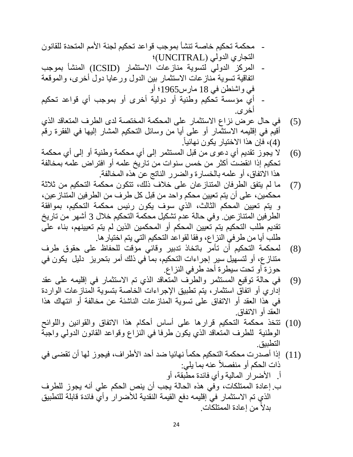- محكمة تحكیم خاصة تنشأ بموجب قواعد تحكیم لجنة الأمم المتحدة للقانون التجاري الدولي (UNCITRAL)؛ - المركز الدولي لتسویة منازعات الاستثمار (ICSID (المنشأ بموجب اتفاقیة تسویة منازعات الاستثمار بین الدول ورعایا دول أخرى، والموقعة
- في واشنطن في 18 مارس1965؛ أو - أي مؤسسة تحكیم وطنیة أو دولیة أخرى أو بموجب أي قواعد تحكیم أخرى.
- (5) في حال عرض نزاع الاستثمار على المحكمة المختصة لدى الطرف المتعاقد الذي أقیم في إقلیمھ الاستثمار أو على أیا من وسائل التحكیم المشار إلیھا في الفقرة رقم .ً (4)، فإن ھذا الاختیار یكون نھائیا
- (6) لا یجوز تقدیم أي دعوى من قبل المستثمر إلى أي محكمة وطنیة أو إلى أي محكمة تحكیم إذا انقضت أكثر من خمس سنوات من تاریخ علمھ أو افتراض علمھ بمخالفة ھذا الاتفاق، أو علمھ بالخسارة والضرر الناتج عن ھذه المخالفة.
- (7) ما لم یتفق الطرفان المتنازعان على خلاف ذلك، تتكون محكمة التحكیم من ثلاثة محكمین، على أن یتم تعیین محكم واحد من قبل كل طرف من الطرفین المتنازعین، و یتم تعیین المحكم الثالث، الذي سوف یكون رئیس محكمة التحكیم، بموافقة الطرفین المتنازعین. وفي حالة عدم تشكیل محكمة التحكیم خلال 3 أشھر من تاریخ تقدیم طلب التحكیم یتم تعیین المحكم أو المحكمین الذین لم یتم تعیینھم، بناء على طلب أیا من طرفي النزاع، وفقا لقواعد التحكیم التي یتم اختیارھا.
- (8) لمحكمة التحكیم أن تأمر باتخاذ تدبیر وقائي مؤقت للحفاظ على حقوق طرف متنازع، أو لتسھیل سیر إجراءات التحكیم، بما في ذلك أمر بتحریز دلیل یكون في حوزة أو تحت سیطرة أحد طرفي النزاع.
- (9) في حالة توقیع المستثمر والطرف المتعاقد الذي تم الاستثمار في إقلیمھ على عقد إداري أو اتفاق استثمار، یتم تطبیق الإجراءات الخاصة بتسویة المنازعات الواردة في ھذا العقد أو الاتفاق على تسویة المنازعات الناشئة عن مخالفة أو انتھاك ھذا العقد أو الاتفاق.
- (10) تتخذ محكمة التحكیم قرارھا على أساس أحكام ھذا الاتفاق والقوانین واللوائح الوطنیة للطرف المتعاقد الذي یكون طرفا في النزاع وقواعد القانون الدولي واجبة التطبیق.
- (11) إذا أصدرت محكمة التحكيم حكماً نهائيا ضد أحد الأطراف، فيجوز لها أن تقضى في ذات الحكم أو منفصلاً عنه بما يلي: أ. الأضرار المالیة وأي فائدة مطبقة، أو ب. إعادة الممتلكات، وفي ھذه الحالة یجب أن ینص الحكم علي أنھ یجوز للطرف
- الذي تم الاستثمار في إقلیمھ دفع القیمة النقدیة للأضرار وأي فائدة قابلة للتطبیق بدلاً من إعادة الممتلكات<sub>.</sub>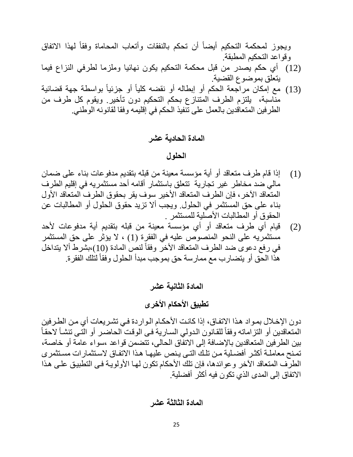ً لھذا الاتفاق ً أن تحكم بالنفقات وأتعاب المحاماة وفقا ویجوز لمحكمة التحكیم أیضا وقواعد التحكیم المطبقة. (12) أي حكم یصدر من قبل محكمة التحكیم یكون نھائیا وملزما لطرفي النزاع فیما یتعلق بموضوع القضیة. ً بواسطة جھة قضائیة ً أو جزئیا (13) مع إمكان مراجعة الحكم أو إبطالھ أو نقضھ كلیا مناسبة، یلتزم الطرف المتنازع بحكم التحكیم دون تأخیر. ویقوم كل طرف من

الطرفین المتعاقدین بالعمل على تنفیذ الحكم في إقلیمھ وفقا لقانونھ الوطني.

**المادة الحادیة عشر**

### **الحلول**

- (1) إذا قام طرف متعاقد أو أیة مؤسسة معینة من قبلھ بتقدیم مدفوعات بناء على ضمان مالي ضد مخاطر غیر تجاریة تتعلق باستثمار أقامھ أحد مستثمریھ في إقلیم الطرف المتعاقد الآخر، فإن الطرف المتعاقد الأخیر سوف یقر بحقوق الطرف المتعاقد الأول بناء على حق المستثمر في الحلول. ویجب ألا تزید حقوق الحلول أو المطالبات عن الحقوق أو المطالبات الأصلیة للمستثمر .
- (2) قیام أي طرف متعاقد أو أي مؤسسة معینة من قبلھ بتقدیم أیة مدفوعات لأحد مستثمریھ على النحو المنصوص علیھ في الفقرة (1) ، لا یؤثر على حق المستثمر في رفع دعوى ضد الطرف المتعاقد الأخر وفقاً لنص المادة (10)،بشرط ألا يتداخل هذا الحق أو يتضارب مع ممارسة حق بموجب مبدأ الحلول وفقاً لتلك الفقرة.

**المادة الثانیة عشر**

**تطبیق الأحكام الأخرى**

دون الإخلال بمواد هذا الاتفاق، إذا كانت الأحكـام الـواردة فـي تشريعات أي مـن الطـرفين ً المتعاقدين أو التزاماته وفقاً للقانون الدولي السـارية فـى الوقت الحاضـر أو التـى تنشـأ لاحقـأ بین الطرفین المتعاقدین بالإضافة إلى الاتفاق الحالى، تتضمن قواعد ،سواء عامة أو خاصة، تمنح معاملــة أكثـر أفضـلية مـن تلـك التـى يـنص عليهـا هـذا الاتفـاق لاسـتثمارات مسـتثمر ى الطرف المتعاقد الآخر وعوائدها، فإن تلك الأحكام تكون لهـا الأولويــة فـى التطبيـق علـى هذا الاتفاق إلى المدى الذي تكون فیھ أكثر أفضلیة.

**المادة الثالثة عشر**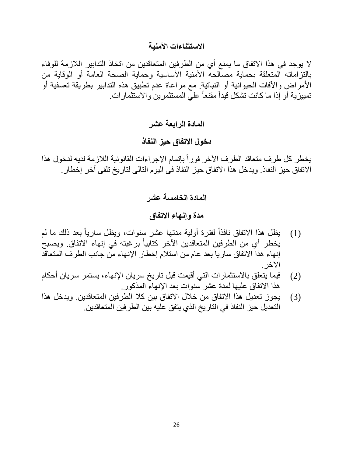## **الاستثناءات الأمنیة**

لا یوجد في ھذا الاتفاق ما یمنع أي من الطرفین المتعاقدین من اتخاذ التدابیر اللازمة للوفاء بالتزاماتھ المتعلقة بحمایة مصالحھ الأمنیة الأساسیة وحمایة الصحة العامة أو الوقایة من الأمراض والآفات الحیوانیة أو النباتیة. مع مراعاة عدم تطبیق ھذه التدابیر بطریقة تعسفیة أو تمييزية أو إذا ما كانت تشكل قيداً مقنعاً علي المستثمرين والاستثمارات.

**المادة الرابعة عشر**

# **دخول الاتفاق حیز النفاذ**

يخطر كل طرف متعاقد الطرف الأخر فوراً بإتمام الإجراءات القانونية اللازمة لديه لدخول هذا الاتفاق حیز النفاذ. ویدخل ھذا الاتفاق حیز النفاذ فى الیوم التالى لتاریخ تلقى آخر إخطار.

**المادة الخامسة عشر**

## **مدة وإنھاء الاتفاق**

- (1) يظل هذا الاتفاق نافذاً لفترة أولية مدتها عشر سنوات، ويظل سارياً بعد ذلك ما لم يخطر أي من الطرفين المتعاقدين الآخر كتابياً برغبته في إنهاء الاتفاق. ويصبح إنھاء ھذا الاتفاق ساریا بعد عام من استلام إخطار الإنھاء من جانب الطرف المتعاقد الآخر.
- (2) فیما یتعلق بالاستثمارات التي أقیمت قبل تاریخ سریان الإنھاء، یستمر سریان أحكام ھذا الاتفاق علیھا لمدة عشر سنوات بعد الإنھاء المذكور.
- (3) یجوز تعدیل ھذا الاتفاق من خلال الاتفاق بین كلا الطرفین المتعاقدین. ویدخل ھذا التعدیل حیز النفاذ في التاریخ الذي یتفق علیھ بین الطرفین المتعاقدین.